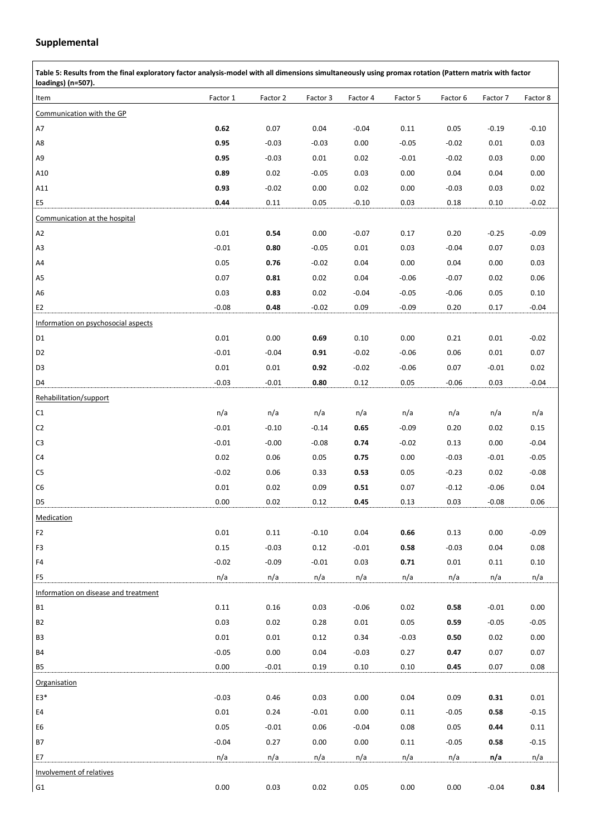## **Supplemental**

| Table 5: Results from the final exploratory factor analysis-model with all dimensions simultaneously using promax rotation (Pattern matrix with factor<br>loadings) (n=507). |          |          |          |          |          |          |          |          |  |  |
|------------------------------------------------------------------------------------------------------------------------------------------------------------------------------|----------|----------|----------|----------|----------|----------|----------|----------|--|--|
| Item                                                                                                                                                                         | Factor 1 | Factor 2 | Factor 3 | Factor 4 | Factor 5 | Factor 6 | Factor 7 | Factor 8 |  |  |
| Communication with the GP                                                                                                                                                    |          |          |          |          |          |          |          |          |  |  |
| A7                                                                                                                                                                           | 0.62     | 0.07     | 0.04     | $-0.04$  | $0.11\,$ | 0.05     | $-0.19$  | $-0.10$  |  |  |
| A8                                                                                                                                                                           | 0.95     | $-0.03$  | $-0.03$  | 0.00     | $-0.05$  | $-0.02$  | 0.01     | 0.03     |  |  |
| A <sub>9</sub>                                                                                                                                                               | 0.95     | $-0.03$  | 0.01     | 0.02     | $-0.01$  | $-0.02$  | 0.03     | 0.00     |  |  |
| A10                                                                                                                                                                          | 0.89     | 0.02     | $-0.05$  | 0.03     | 0.00     | 0.04     | 0.04     | 0.00     |  |  |
| A11                                                                                                                                                                          | 0.93     | $-0.02$  | 0.00     | 0.02     | 0.00     | $-0.03$  | 0.03     | 0.02     |  |  |
| E <sub>5</sub>                                                                                                                                                               | 0.44     | 0.11     | 0.05     | $-0.10$  | 0.03     | 0.18     | 0.10     | $-0.02$  |  |  |
| Communication at the hospital                                                                                                                                                |          |          |          |          |          |          |          |          |  |  |
| A2                                                                                                                                                                           | 0.01     | 0.54     | 0.00     | $-0.07$  | 0.17     | 0.20     | $-0.25$  | $-0.09$  |  |  |
| A3                                                                                                                                                                           | $-0.01$  | 0.80     | $-0.05$  | 0.01     | 0.03     | $-0.04$  | 0.07     | 0.03     |  |  |
| A4                                                                                                                                                                           | 0.05     | 0.76     | $-0.02$  | 0.04     | 0.00     | 0.04     | 0.00     | 0.03     |  |  |
| A <sub>5</sub>                                                                                                                                                               | 0.07     | 0.81     | 0.02     | 0.04     | $-0.06$  | $-0.07$  | 0.02     | 0.06     |  |  |
| A6                                                                                                                                                                           | 0.03     | 0.83     | 0.02     | $-0.04$  | $-0.05$  | $-0.06$  | 0.05     | 0.10     |  |  |
| E <sub>2</sub>                                                                                                                                                               | $-0.08$  | 0.48     | $-0.02$  | 0.09     | $-0.09$  | 0.20     | 0.17     | $-0.04$  |  |  |
| Information on psychosocial aspects                                                                                                                                          |          |          |          |          |          |          |          |          |  |  |
| D <sub>1</sub>                                                                                                                                                               | 0.01     | 0.00     | 0.69     | 0.10     | 0.00     | 0.21     | 0.01     | $-0.02$  |  |  |
| D <sub>2</sub>                                                                                                                                                               | $-0.01$  | $-0.04$  | 0.91     | $-0.02$  | $-0.06$  | 0.06     | 0.01     | 0.07     |  |  |
| D <sub>3</sub>                                                                                                                                                               | 0.01     | 0.01     | 0.92     | $-0.02$  | $-0.06$  | 0.07     | $-0.01$  | 0.02     |  |  |
| D <sub>4</sub>                                                                                                                                                               | $-0.03$  | $-0.01$  | 0.80     | 0.12     | 0.05     | $-0.06$  | 0.03     | $-0.04$  |  |  |
| Rehabilitation/support                                                                                                                                                       |          |          |          |          |          |          |          |          |  |  |
| C1                                                                                                                                                                           | n/a      | n/a      | n/a      | n/a      | n/a      | n/a      | n/a      | n/a      |  |  |
| C <sub>2</sub>                                                                                                                                                               | $-0.01$  | $-0.10$  | $-0.14$  | 0.65     | $-0.09$  | 0.20     | 0.02     | 0.15     |  |  |
| C <sub>3</sub>                                                                                                                                                               | $-0.01$  | $-0.00$  | $-0.08$  | 0.74     | $-0.02$  | 0.13     | 0.00     | $-0.04$  |  |  |
| C4                                                                                                                                                                           | 0.02     | 0.06     | 0.05     | 0.75     | 0.00     | $-0.03$  | $-0.01$  | $-0.05$  |  |  |
| C <sub>5</sub>                                                                                                                                                               | $-0.02$  | 0.06     | 0.33     | 0.53     | 0.05     | $-0.23$  | 0.02     | $-0.08$  |  |  |
| C <sub>6</sub>                                                                                                                                                               | 0.01     | 0.02     | 0.09     | 0.51     | 0.07     | $-0.12$  | $-0.06$  | 0.04     |  |  |
| D5                                                                                                                                                                           | 0.00     | 0.02     | 0.12     | 0.45     | 0.13     | 0.03     | $-0.08$  | 0.06     |  |  |
| Medication                                                                                                                                                                   |          |          |          |          |          |          |          |          |  |  |
| F <sub>2</sub>                                                                                                                                                               | 0.01     | 0.11     | $-0.10$  | 0.04     | 0.66     | 0.13     | 0.00     | $-0.09$  |  |  |
| F3                                                                                                                                                                           | 0.15     | $-0.03$  | 0.12     | $-0.01$  | 0.58     | $-0.03$  | 0.04     | 0.08     |  |  |
| F4                                                                                                                                                                           | $-0.02$  | $-0.09$  | $-0.01$  | 0.03     | 0.71     | 0.01     | 0.11     | $0.10\,$ |  |  |
| F <sub>5</sub>                                                                                                                                                               | n/a      | n/a      | n/a      | n/a      | n/a      | n/a      | n/a      | n/a      |  |  |
| Information on disease and treatment                                                                                                                                         |          |          |          |          |          |          |          |          |  |  |
| <b>B1</b>                                                                                                                                                                    | 0.11     | 0.16     | 0.03     | $-0.06$  | 0.02     | 0.58     | $-0.01$  | 0.00     |  |  |
| <b>B2</b>                                                                                                                                                                    | 0.03     | 0.02     | 0.28     | 0.01     | 0.05     | 0.59     | $-0.05$  | $-0.05$  |  |  |
| B <sub>3</sub>                                                                                                                                                               | 0.01     | 0.01     | 0.12     | 0.34     | $-0.03$  | 0.50     | 0.02     | 0.00     |  |  |
| <b>B4</b>                                                                                                                                                                    | $-0.05$  | 0.00     | 0.04     | $-0.03$  | 0.27     | 0.47     | 0.07     | 0.07     |  |  |
| B5                                                                                                                                                                           | 0.00     | $-0.01$  | 0.19     | 0.10     | 0.10     | 0.45     | 0.07     | 0.08     |  |  |
| <b>Organisation</b>                                                                                                                                                          |          |          |          |          |          |          |          |          |  |  |
| E3*                                                                                                                                                                          | $-0.03$  | 0.46     | 0.03     | 0.00     | 0.04     | 0.09     | 0.31     | 0.01     |  |  |
| E4                                                                                                                                                                           | 0.01     | 0.24     | $-0.01$  | 0.00     | 0.11     | $-0.05$  | 0.58     | $-0.15$  |  |  |
| E <sub>6</sub>                                                                                                                                                               | 0.05     | $-0.01$  | 0.06     | $-0.04$  | 0.08     | 0.05     | 0.44     | 0.11     |  |  |
| <b>B7</b>                                                                                                                                                                    | $-0.04$  | 0.27     | 0.00     | 0.00     | 0.11     | $-0.05$  | 0.58     | $-0.15$  |  |  |
| E7                                                                                                                                                                           | n/a      | n/a      | n/a      | n/a      | n/a      | n/a      | n/a      | n/a      |  |  |
| Involvement of relatives                                                                                                                                                     |          |          |          |          |          |          |          |          |  |  |
| G1                                                                                                                                                                           | 0.00     | 0.03     | 0.02     | 0.05     | 0.00     | 0.00     | $-0.04$  | 0.84     |  |  |